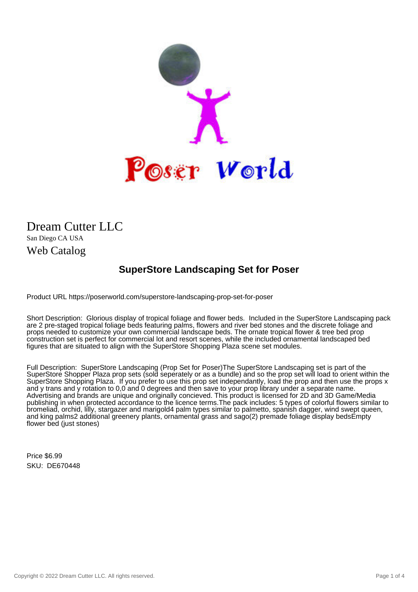

## Dream Cutter LLC San Diego CA USA Web Catalog

## **SuperStore Landscaping Set for Poser**

Product URL https://poserworld.com/superstore-landscaping-prop-set-for-poser

Short Description: Glorious display of tropical foliage and flower beds. Included in the SuperStore Landscaping pack are 2 pre-staged tropical foliage beds featuring palms, flowers and river bed stones and the discrete foliage and props needed to customize your own commercial landscape beds. The ornate tropical flower & tree bed prop construction set is perfect for commercial lot and resort scenes, while the included ornamental landscaped bed figures that are situated to align with the SuperStore Shopping Plaza scene set modules.

Full Description: SuperStore Landscaping (Prop Set for Poser)The SuperStore Landscaping set is part of the SuperStore Shopper Plaza prop sets (sold seperately or as a bundle) and so the prop set will load to orient within the SuperStore Shopping Plaza. If you prefer to use this prop set independantly, load the prop and then use the props x and y trans and y rotation to 0,0 and 0 degrees and then save to your prop library under a separate name. Advertising and brands are unique and originally concieved. This product is licensed for 2D and 3D Game/Media publishing in when protected accordance to the licence terms.The pack includes: 5 types of colorful flowers similar to bromeliad, orchid, lilly, stargazer and marigold4 palm types similar to palmetto, spanish dagger, wind swept queen, and king palms2 additional greenery plants, ornamental grass and sago(2) premade foliage display bedsEmpty flower bed (just stones)

Price \$6.99 SKU: DE670448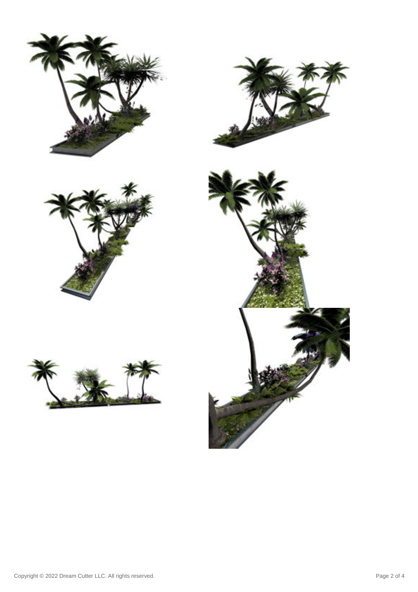